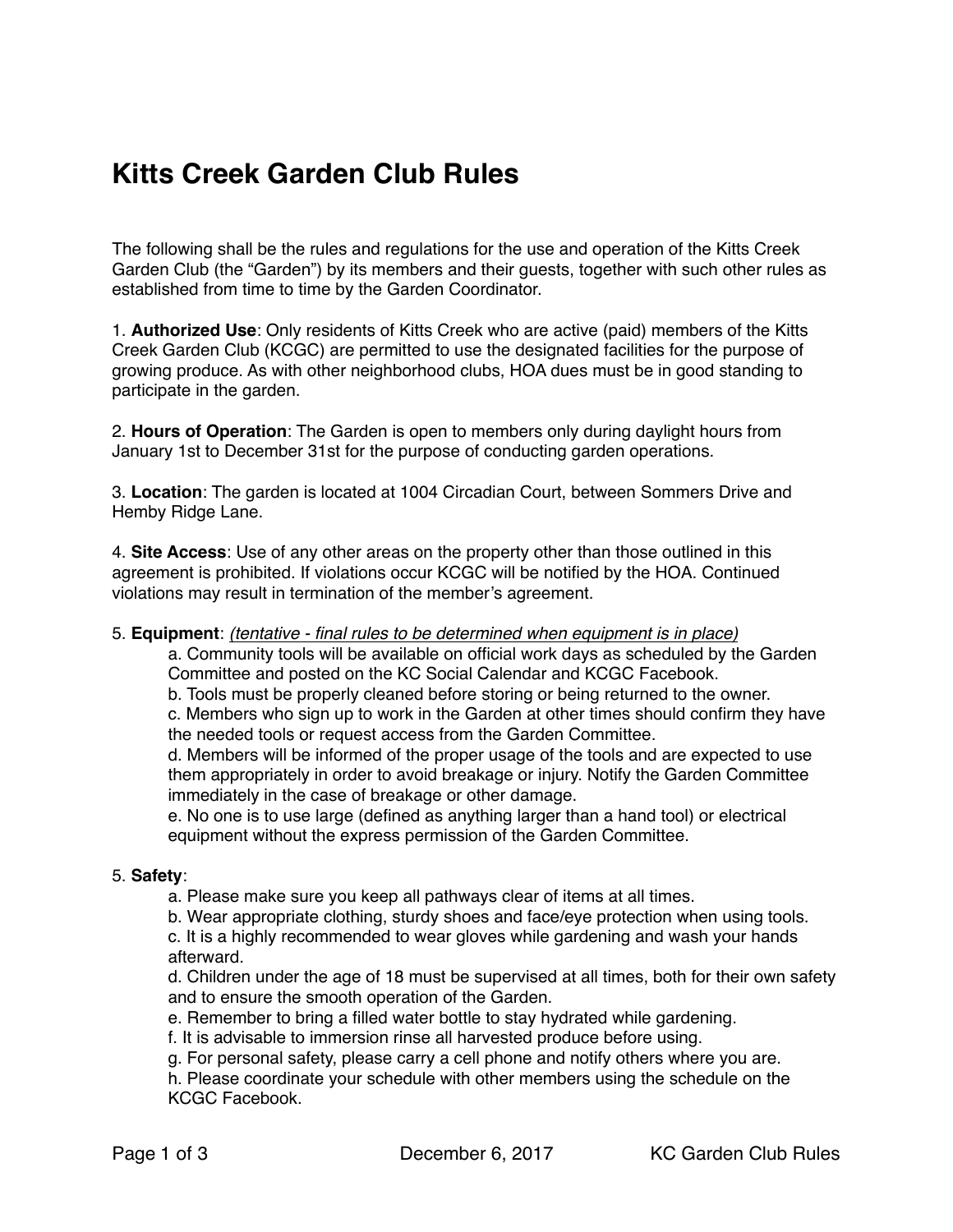# **Kitts Creek Garden Club Rules**

The following shall be the rules and regulations for the use and operation of the Kitts Creek Garden Club (the "Garden") by its members and their guests, together with such other rules as established from time to time by the Garden Coordinator.

1. **Authorized Use**: Only residents of Kitts Creek who are active (paid) members of the Kitts Creek Garden Club (KCGC) are permitted to use the designated facilities for the purpose of growing produce. As with other neighborhood clubs, HOA dues must be in good standing to participate in the garden.

2. **Hours of Operation**: The Garden is open to members only during daylight hours from January 1st to December 31st for the purpose of conducting garden operations.

3. **Location**: The garden is located at 1004 Circadian Court, between Sommers Drive and Hemby Ridge Lane.

4. **Site Access**: Use of any other areas on the property other than those outlined in this agreement is prohibited. If violations occur KCGC will be notified by the HOA. Continued violations may result in termination of the member's agreement.

5. **Equipment**: *(tentative - final rules to be determined when equipment is in place)*

a. Community tools will be available on official work days as scheduled by the Garden Committee and posted on the KC Social Calendar and KCGC Facebook.

b. Tools must be properly cleaned before storing or being returned to the owner.

c. Members who sign up to work in the Garden at other times should confirm they have the needed tools or request access from the Garden Committee.

d. Members will be informed of the proper usage of the tools and are expected to use them appropriately in order to avoid breakage or injury. Notify the Garden Committee immediately in the case of breakage or other damage.

e. No one is to use large (defined as anything larger than a hand tool) or electrical equipment without the express permission of the Garden Committee.

#### 5. **Safety**:

a. Please make sure you keep all pathways clear of items at all times.

b. Wear appropriate clothing, sturdy shoes and face/eye protection when using tools.

c. It is a highly recommended to wear gloves while gardening and wash your hands afterward.

d. Children under the age of 18 must be supervised at all times, both for their own safety and to ensure the smooth operation of the Garden.

e. Remember to bring a filled water bottle to stay hydrated while gardening.

f. It is advisable to immersion rinse all harvested produce before using.

g. For personal safety, please carry a cell phone and notify others where you are.

h. Please coordinate your schedule with other members using the schedule on the KCGC Facebook.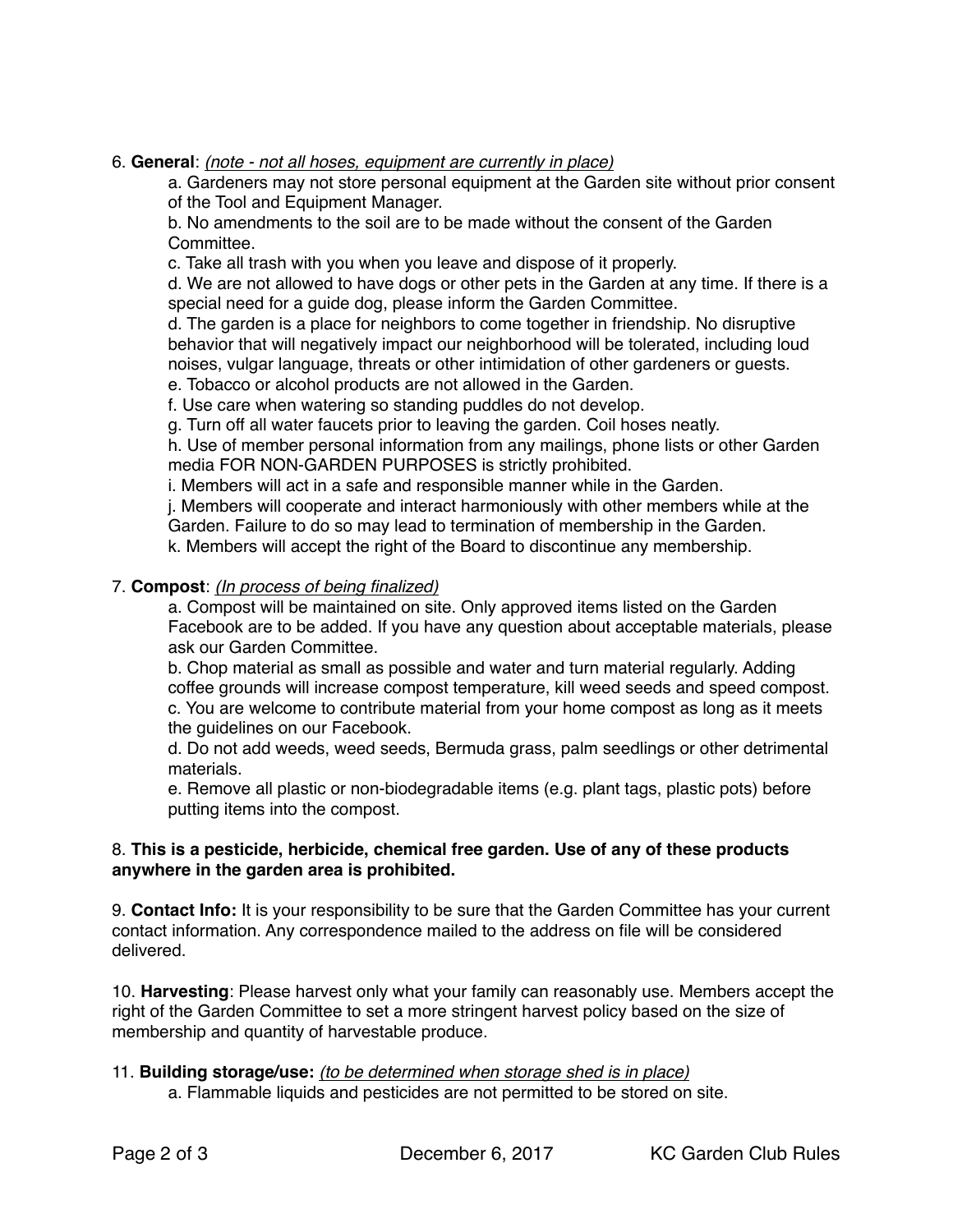6. **General**: *(note - not all hoses, equipment are currently in place)*

a. Gardeners may not store personal equipment at the Garden site without prior consent of the Tool and Equipment Manager.

b. No amendments to the soil are to be made without the consent of the Garden **Committee** 

c. Take all trash with you when you leave and dispose of it properly.

d. We are not allowed to have dogs or other pets in the Garden at any time. If there is a special need for a guide dog, please inform the Garden Committee.

d. The garden is a place for neighbors to come together in friendship. No disruptive behavior that will negatively impact our neighborhood will be tolerated, including loud noises, vulgar language, threats or other intimidation of other gardeners or guests.

e. Tobacco or alcohol products are not allowed in the Garden.

f. Use care when watering so standing puddles do not develop.

g. Turn off all water faucets prior to leaving the garden. Coil hoses neatly.

h. Use of member personal information from any mailings, phone lists or other Garden media FOR NON-GARDEN PURPOSES is strictly prohibited.

i. Members will act in a safe and responsible manner while in the Garden.

j. Members will cooperate and interact harmoniously with other members while at the Garden. Failure to do so may lead to termination of membership in the Garden.

k. Members will accept the right of the Board to discontinue any membership.

# 7. **Compost**: *(In process of being finalized)*

a. Compost will be maintained on site. Only approved items listed on the Garden Facebook are to be added. If you have any question about acceptable materials, please ask our Garden Committee.

b. Chop material as small as possible and water and turn material regularly. Adding coffee grounds will increase compost temperature, kill weed seeds and speed compost. c. You are welcome to contribute material from your home compost as long as it meets the guidelines on our Facebook.

d. Do not add weeds, weed seeds, Bermuda grass, palm seedlings or other detrimental materials.

e. Remove all plastic or non-biodegradable items (e.g. plant tags, plastic pots) before putting items into the compost.

# 8. **This is a pesticide, herbicide, chemical free garden. Use of any of these products anywhere in the garden area is prohibited.**

9. **Contact Info:** It is your responsibility to be sure that the Garden Committee has your current contact information. Any correspondence mailed to the address on file will be considered delivered.

10. **Harvesting**: Please harvest only what your family can reasonably use. Members accept the right of the Garden Committee to set a more stringent harvest policy based on the size of membership and quantity of harvestable produce.

# 11. **Building storage/use:** *(to be determined when storage shed is in place)*

a. Flammable liquids and pesticides are not permitted to be stored on site.